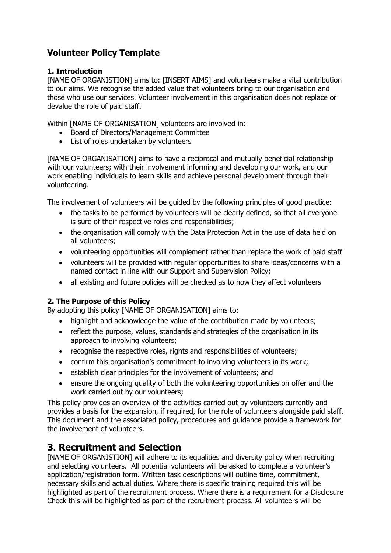# **Volunteer Policy Template**

### **1. Introduction**

[NAME OF ORGANISTION] aims to: [INSERT AIMS] and volunteers make a vital contribution to our aims. We recognise the added value that volunteers bring to our organisation and those who use our services. Volunteer involvement in this organisation does not replace or devalue the role of paid staff.

Within [NAME OF ORGANISATION] volunteers are involved in:

- Board of Directors/Management Committee
- List of roles undertaken by volunteers

[NAME OF ORGANISATION] aims to have a reciprocal and mutually beneficial relationship with our volunteers; with their involvement informing and developing our work, and our work enabling individuals to learn skills and achieve personal development through their volunteering.

The involvement of volunteers will be guided by the following principles of good practice:

- the tasks to be performed by volunteers will be clearly defined, so that all everyone is sure of their respective roles and responsibilities;
- the organisation will comply with the Data Protection Act in the use of data held on all volunteers;
- volunteering opportunities will complement rather than replace the work of paid staff
- volunteers will be provided with regular opportunities to share ideas/concerns with a named contact in line with our Support and Supervision Policy;
- all existing and future policies will be checked as to how they affect volunteers

### **2. The Purpose of this Policy**

By adopting this policy [NAME OF ORGANISATION] aims to:

- highlight and acknowledge the value of the contribution made by volunteers;
- reflect the purpose, values, standards and strategies of the organisation in its approach to involving volunteers;
- recognise the respective roles, rights and responsibilities of volunteers;
- confirm this organisation's commitment to involving volunteers in its work;
- establish clear principles for the involvement of volunteers; and
- ensure the ongoing quality of both the volunteering opportunities on offer and the work carried out by our volunteers;

This policy provides an overview of the activities carried out by volunteers currently and provides a basis for the expansion, if required, for the role of volunteers alongside paid staff. This document and the associated policy, procedures and guidance provide a framework for the involvement of volunteers.

# **3. Recruitment and Selection**

[NAME OF ORGANISTION] will adhere to its equalities and diversity policy when recruiting and selecting volunteers. All potential volunteers will be asked to complete a volunteer's application/registration form. Written task descriptions will outline time, commitment, necessary skills and actual duties. Where there is specific training required this will be highlighted as part of the recruitment process. Where there is a requirement for a Disclosure Check this will be highlighted as part of the recruitment process. All volunteers will be